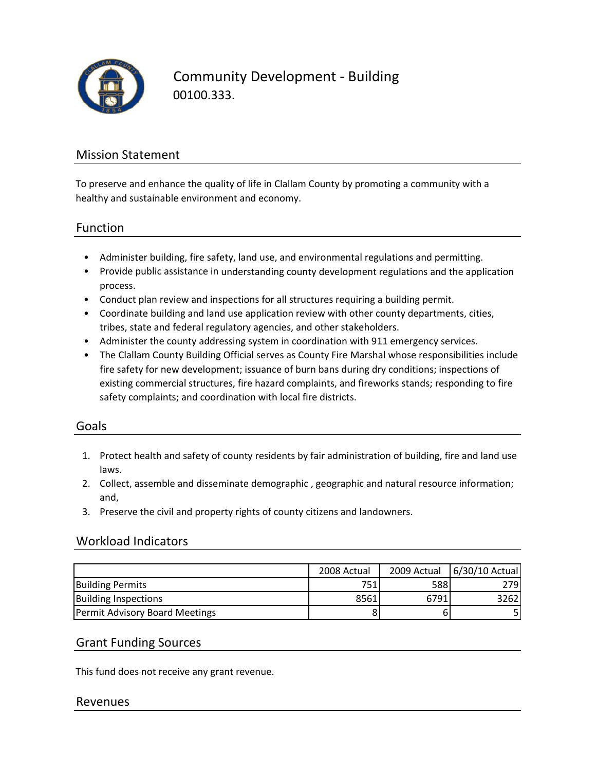

Community Development ‐ Building 00100.333.

## Mission Statement

To preserve and enhance the quality of life in Clallam County by promoting a community with a healthy and sustainable environment and economy.

### Function

- Administer building, fire safety, land use, and environmental regulations and permitting.
- Provide public assistance in understanding county development regulations and the application process.
- Conduct plan review and inspections for all structures requiring a building permit.
- Coordinate building and land use application review with other county departments, cities, tribes, state and federal regulatory agencies, and other stakeholders.
- Administer the county addressing system in coordination with 911 emergency services.
- The Clallam County Building Official serves as County Fire Marshal whose responsibilities include fire safety for new development; issuance of burn bans during dry conditions; inspections of existing commercial structures, fire hazard complaints, and fireworks stands; responding to fire safety complaints; and coordination with local fire districts.

### Goals

- 1. Protect health and safety of county residents by fair administration of building, fire and land use laws.
- 2. Collect, assemble and disseminate demographic , geographic and natural resource information; and,
- 3. Preserve the civil and property rights of county citizens and landowners.

#### Workload Indicators

|                                       | 2008 Actual |      | 2009 Actual 6/30/10 Actual |
|---------------------------------------|-------------|------|----------------------------|
| <b>Building Permits</b>               | 751         | 588  | 2791                       |
| <b>Building Inspections</b>           | 8561        | 6791 | 3262I                      |
| <b>Permit Advisory Board Meetings</b> | 8           |      |                            |

### Grant Funding Sources

This fund does not receive any grant revenue.

#### Revenues